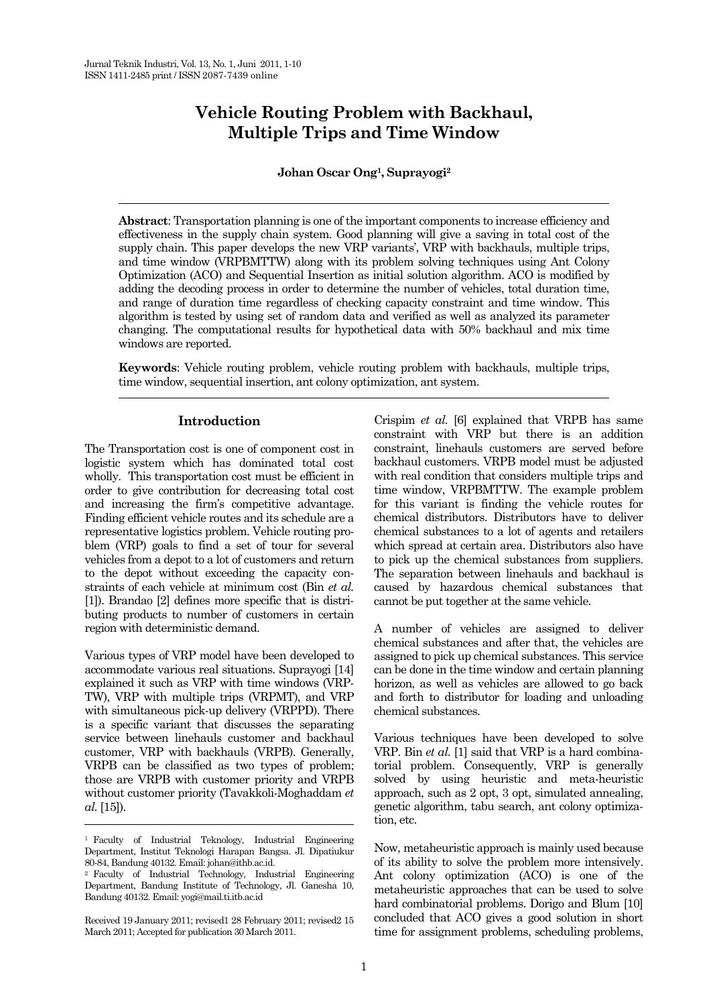# **Vehicle Routing Problem with Backhaul, Multiple Trips and Time Window**

# **Johan Oscar Ong1, Suprayogi2**

**Abstract**: Transportation planning is one of the important components to increase efficiency and effectiveness in the supply chain system. Good planning will give a saving in total cost of the supply chain. This paper develops the new VRP variants', VRP with backhauls, multiple trips, and time window (VRPBMTTW) along with its problem solving techniques using Ant Colony Optimization (ACO) and Sequential Insertion as initial solution algorithm. ACO is modified by adding the decoding process in order to determine the number of vehicles, total duration time, and range of duration time regardless of checking capacity constraint and time window. This algorithm is tested by using set of random data and verified as well as analyzed its parameter changing. The computational results for hypothetical data with 50% backhaul and mix time windows are reported.

**Keywords**: Vehicle routing problem, vehicle routing problem with backhauls, multiple trips, time window, sequential insertion, ant colony optimization, ant system.

# **Introduction**

The Transportation cost is one of component cost in logistic system which has dominated total cost wholly. This transportation cost must be efficient in order to give contribution for decreasing total cost and increasing the firm's competitive advantage. Finding efficient vehicle routes and its schedule are a representative logistics problem. Vehicle routing problem (VRP) goals to find a set of tour for several vehicles from a depot to a lot of customers and return to the depot without exceeding the capacity constraints of each vehicle at minimum cost (Bin *et al.* [1]). Brandao [2] defines more specific that is distributing products to number of customers in certain region with deterministic demand.

Various types of VRP model have been developed to accommodate various real situations. Suprayogi [14] explained it such as VRP with time windows (VRP-TW), VRP with multiple trips (VRPMT), and VRP with simultaneous pick-up delivery (VRPPD). There is a specific variant that discusses the separating service between linehauls customer and backhaul customer, VRP with backhauls (VRPB). Generally, VRPB can be classified as two types of problem; those are VRPB with customer priority and VRPB without customer priority (Tavakkoli-Moghaddam *et al.* [15]).

Crispim *et al.* [6] explained that VRPB has same constraint with VRP but there is an addition constraint, linehauls customers are served before backhaul customers. VRPB model must be adjusted with real condition that considers multiple trips and time window, VRPBMTTW. The example problem for this variant is finding the vehicle routes for chemical distributors. Distributors have to deliver chemical substances to a lot of agents and retailers which spread at certain area. Distributors also have to pick up the chemical substances from suppliers. The separation between linehauls and backhaul is caused by hazardous chemical substances that cannot be put together at the same vehicle.

A number of vehicles are assigned to deliver chemical substances and after that, the vehicles are assigned to pick up chemical substances. This service can be done in the time window and certain planning horizon, as well as vehicles are allowed to go back and forth to distributor for loading and unloading chemical substances.

Various techniques have been developed to solve VRP. Bin *et al.* [1] said that VRP is a hard combinatorial problem. Consequently, VRP is generally solved by using heuristic and meta-heuristic approach, such as 2 opt, 3 opt, simulated annealing, genetic algorithm, tabu search, ant colony optimization, etc.

Now, metaheuristic approach is mainly used because of its ability to solve the problem more intensively. Ant colony optimization (ACO) is one of the metaheuristic approaches that can be used to solve hard combinatorial problems. Dorigo and Blum [10] concluded that ACO gives a good solution in short time for assignment problems, scheduling problems,

<sup>1</sup> Faculty of Industrial Teknology, Industrial Engineering Department, Institut Teknologi Harapan Bangsa. Jl. Dipatiukur 80-84, Bandung 40132. Email: johan@ithb.ac.id.

<sup>2</sup> Faculty of Industrial Technology, Industrial Engineering Department, Bandung Institute of Technology, Jl. Ganesha 10, Bandung 40132. Email: yogi@mail.ti.itb.ac.id

Received 19 January 2011; revised1 28 February 2011; revised2 15 March 2011; Accepted for publication 30 March 2011.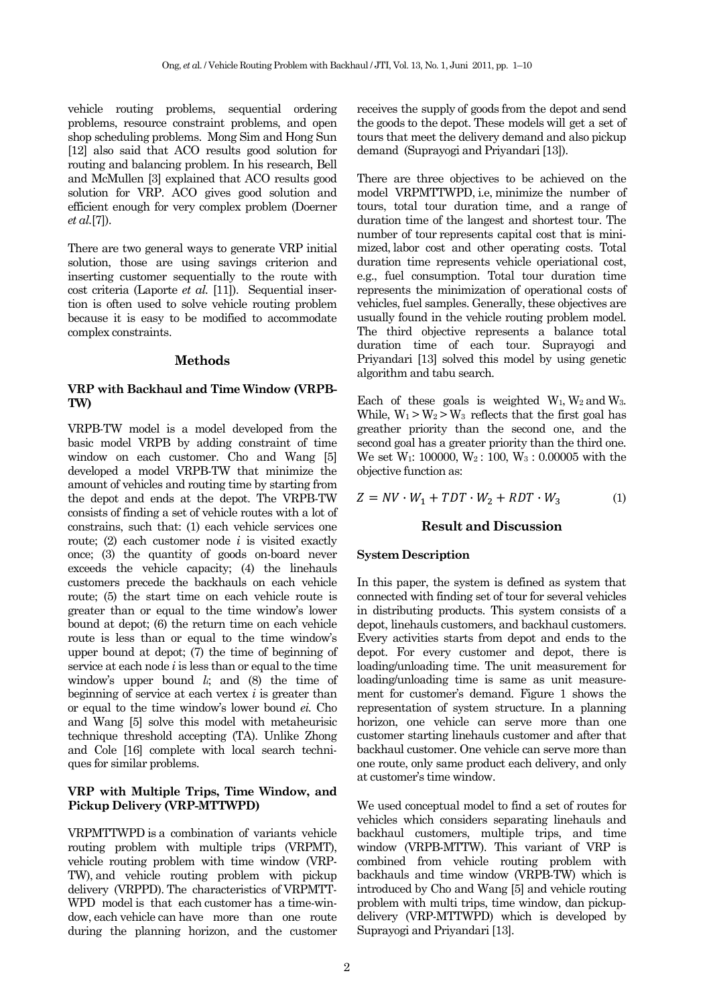vehicle routing problems, sequential ordering problems, resource constraint problems, and open shop scheduling problems. Mong Sim and Hong Sun [12] also said that ACO results good solution for routing and balancing problem. In his research, Bell and McMullen [3] explained that ACO results good solution for VRP. ACO gives good solution and efficient enough for very complex problem (Doerner *et al.*[7]).

There are two general ways to generate VRP initial solution, those are using savings criterion and inserting customer sequentially to the route with cost criteria (Laporte *et al.* [11]). Sequential insertion is often used to solve vehicle routing problem because it is easy to be modified to accommodate complex constraints.

# **Methods**

# **VRP with Backhaul and Time Window (VRPB-TW)**

VRPB-TW model is a model developed from the basic model VRPB by adding constraint of time window on each customer. Cho and Wang [5] developed a model VRPB-TW that minimize the amount of vehicles and routing time by starting from the depot and ends at the depot. The VRPB-TW consists of finding a set of vehicle routes with a lot of constrains, such that: (1) each vehicle services one route; (2) each customer node *i* is visited exactly once; (3) the quantity of goods on-board never exceeds the vehicle capacity; (4) the linehauls customers precede the backhauls on each vehicle route; (5) the start time on each vehicle route is greater than or equal to the time window's lower bound at depot; (6) the return time on each vehicle route is less than or equal to the time window's upper bound at depot; (7) the time of beginning of service at each node *i* is less than or equal to the time window's upper bound *li*; and (8) the time of beginning of service at each vertex *i* is greater than or equal to the time window's lower bound *ei.* Cho and Wang [5] solve this model with metaheurisic technique threshold accepting (TA). Unlike Zhong and Cole [16] complete with local search techniques for similar problems.

# **VRP with Multiple Trips, Time Window, and Pickup Delivery (VRP-MTTWPD)**

VRPMTTWPD is a combination of variants vehicle routing problem with multiple trips (VRPMT), vehicle routing problem with time window (VRP-TW), and vehicle routing problem with pickup delivery (VRPPD). The characteristics of VRPMTT-WPD model is that each customer has a time-window, each vehicle can have more than one route during the planning horizon, and the customer receives the supply of goods from the depot and send the goods to the depot. These models will get a set of tours that meet the delivery demand and also pickup demand (Suprayogi and Priyandari [13]).

There are three objectives to be achieved on the model VRPMTTWPD, i.e, minimize the number of tours, total tour duration time, and a range of duration time of the langest and shortest tour. The number of tour represents capital cost that is minimized, labor cost and other operating costs. Total duration time represents vehicle operiational cost, e.g., fuel consumption. Total tour duration time represents the minimization of operational costs of vehicles, fuel samples. Generally, these objectives are usually found in the vehicle routing problem model. The third objective represents a balance total duration time of each tour. Suprayogi and Priyandari [13] solved this model by using genetic algorithm and tabu search.

Each of these goals is weighted  $W_1$ ,  $W_2$  and  $W_3$ . While,  $W_1 > W_2 > W_3$  reflects that the first goal has greather priority than the second one, and the second goal has a greater priority than the third one. We set W1: 100000, W2 : 100, W3 : 0.00005 with the objective function as:

$$
Z = NV \cdot W_1 + TDT \cdot W_2 + RDT \cdot W_3 \qquad \qquad (1)
$$

# **Result and Discussion**

## **System Description**

In this paper, the system is defined as system that connected with finding set of tour for several vehicles in distributing products. This system consists of a depot, linehauls customers, and backhaul customers. Every activities starts from depot and ends to the depot. For every customer and depot, there is loading/unloading time. The unit measurement for loading/unloading time is same as unit measurement for customer's demand. Figure 1 shows the representation of system structure. In a planning horizon, one vehicle can serve more than one customer starting linehauls customer and after that backhaul customer. One vehicle can serve more than one route, only same product each delivery, and only at customer's time window.

We used conceptual model to find a set of routes for vehicles which considers separating linehauls and backhaul customers, multiple trips, and time window (VRPB-MTTW). This variant of VRP is combined from vehicle routing problem with backhauls and time window (VRPB-TW) which is introduced by Cho and Wang [5] and vehicle routing problem with multi trips, time window, dan pickupdelivery (VRP-MTTWPD) which is developed by Suprayogi and Priyandari [13].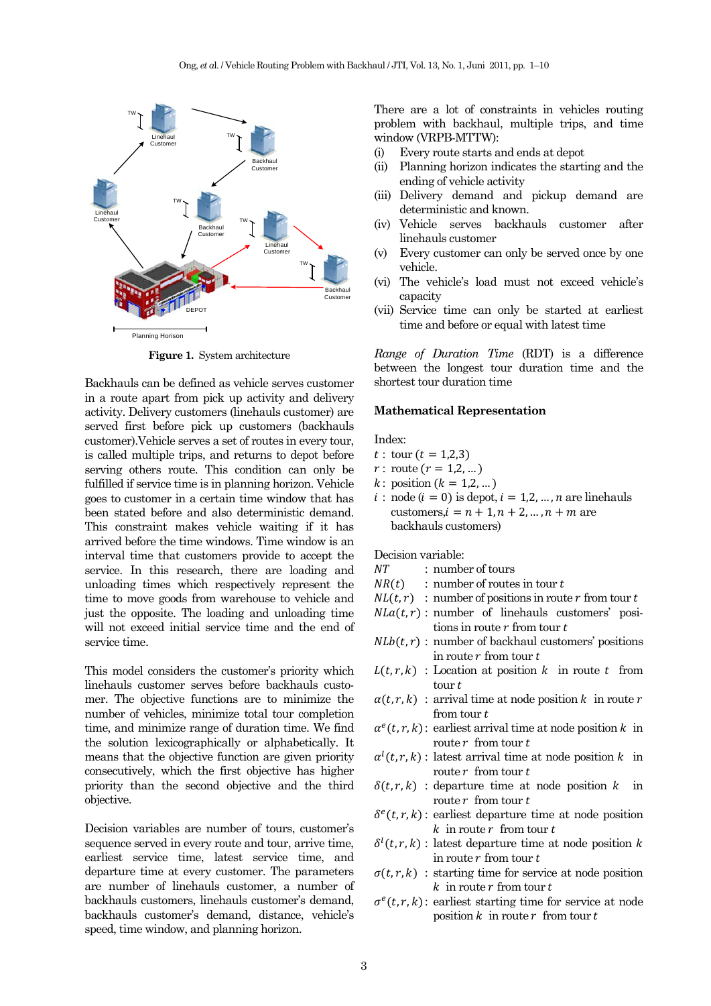

**Figure 1.** System architecture

Backhauls can be defined as vehicle serves customer in a route apart from pick up activity and delivery activity. Delivery customers (linehauls customer) are served first before pick up customers (backhauls customer).Vehicle serves a set of routes in every tour, is called multiple trips, and returns to depot before serving others route. This condition can only be fulfilled if service time is in planning horizon. Vehicle goes to customer in a certain time window that has been stated before and also deterministic demand. This constraint makes vehicle waiting if it has arrived before the time windows. Time window is an interval time that customers provide to accept the service. In this research, there are loading and unloading times which respectively represent the time to move goods from warehouse to vehicle and just the opposite. The loading and unloading time will not exceed initial service time and the end of service time.

This model considers the customer's priority which linehauls customer serves before backhauls customer. The objective functions are to minimize the number of vehicles, minimize total tour completion time, and minimize range of duration time. We find the solution lexicographically or alphabetically. It means that the objective function are given priority consecutively, which the first objective has higher priority than the second objective and the third objective.

Decision variables are number of tours, customer's sequence served in every route and tour, arrive time, earliest service time, latest service time, and departure time at every customer. The parameters are number of linehauls customer, a number of backhauls customers, linehauls customer's demand, backhauls customer's demand, distance, vehicle's speed, time window, and planning horizon.

There are a lot of constraints in vehicles routing problem with backhaul, multiple trips, and time window (VRPB-MTTW):

- (i) Every route starts and ends at depot
- (ii) Planning horizon indicates the starting and the ending of vehicle activity
- (iii) Delivery demand and pickup demand are deterministic and known.
- (iv) Vehicle serves backhauls customer after linehauls customer
- (v) Every customer can only be served once by one vehicle.
- (vi) The vehicle's load must not exceed vehicle's capacity
- (vii) Service time can only be started at earliest time and before or equal with latest time

*Range of Duration Time* (RDT) is a difference between the longest tour duration time and the shortest tour duration time

### **Mathematical Representation**

Index:

- $t :$  tour  $(t = 1,2,3)$
- $r:$  route  $(r = 1, 2, ...)$
- $k:$  position  $(k = 1, 2, ...)$
- $i : node (i = 0)$  is depot,  $i = 1, 2, ..., n$  are linehauls customers, $i = n + 1, n + 2, \dots, n + m$  are backhauls customers)

Decision variable:

- NT : number of tours
- $NR(t)$  : number of routes in tour t
- $NL(t, r)$ : number of positions in route r from tour t
- $NLa(t,r)$ : number of linehauls customers' positions in route  $r$  from tour  $t$
- $N L b(t,r)$ : number of backhaul customers' positions in route  $r$  from tour  $t$
- $L(t,r, k)$ : Location at position k in route t from  $t$ our  $t$
- $\alpha(t, r, k)$ : arrival time at node position  $k$  in route  $r$ from tour  $t$
- $\alpha^{e}(t, r, k)$ : earliest arrival time at node position k in route  $r$  from tour  $t$
- $\alpha^{l}(t, r, k)$ : latest arrival time at node position k in route  $r$  from tour  $t$
- $\delta(t,r, k)$  : departure time at node position  $k$  in route  $r$  from tour  $t$
- $\delta^e(t, r, k)$ : earliest departure time at node position  $k$  in route  $r$  from tour  $t$
- $\delta^{l}(t, r, k)$ : latest departure time at node position k in route  $r$  from tour  $t$
- $\sigma(t, r, k)$ : starting time for service at node position  $k$  in route  $r$  from tour  $t$
- $\sigma^e(t,r,k)$ : earliest starting time for service at node position  $k$  in route  $r$  from tour  $t$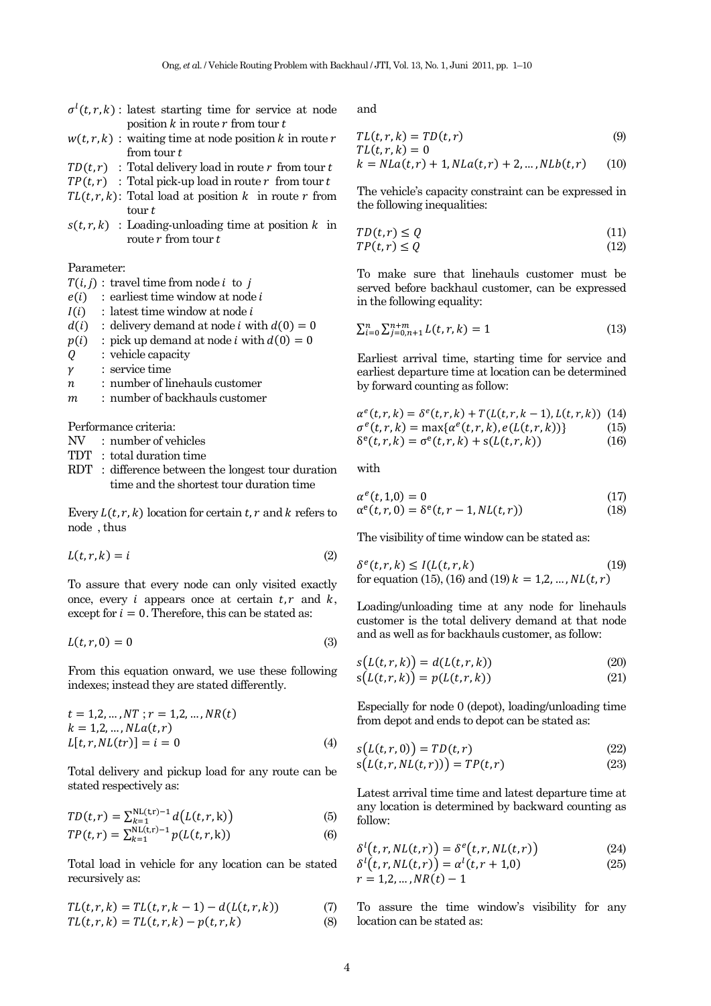- $\sigma^l(t,r,k)$ : latest starting time for service at node position  $k$  in route  $r$  from tour  $t$
- $w(t,r, k)$ : waiting time at node position k in route r from tour  $t$
- $TD(t, r)$ : Total delivery load in route *r* from tour *t*
- $TP(t, r)$ : Total pick-up load in route r from tour t
- $TL(t, r, k)$ : Total load at position k in route r from  $\frac{1}{x}$  tour  $t$
- $s(t, r, k)$ : Loading-unloading time at position  $k$  in route  $r$  from tour  $t$

# Parameter:

 $T(i, j)$ : travel time from node *i* to *j* 

- $e(i)$ : earliest time window at node  $i$
- $I(i)$ : latest time window at node i
- $d(i)$ : delivery demand at node *i* with  $d(0) = 0$
- $p(i)$ : pick up demand at node *i* with  $d(0) = 0$
- $Q$  : vehicle capacity
- $\gamma$  : service time
- $n$  : number of linehauls customer
- $m$  : number of backhauls customer

Performance criteria:

- NV : number of vehicles
- TDT : total duration time
- RDT : difference between the longest tour duration time and the shortest tour duration time

Every  $L(t, r, k)$  location for certain  $t, r$  and  $k$  refers to node , thus

$$
L(t, r, k) = i \tag{2}
$$

To assure that every node can only visited exactly once, every *i* appears once at certain  $t, r$  and  $k$ , except for  $i = 0$ . Therefore, this can be stated as:

$$
L(t, r, 0) = 0 \tag{3}
$$

From this equation onward, we use these following indexes; instead they are stated differently.

$$
t = 1,2,...,NT; r = 1,2,..., NR(t)
$$
  
\n
$$
k = 1,2,..., NLa(t,r)
$$
  
\n
$$
L[t, r, NL(tr)] = i = 0
$$
 (4)

Total delivery and pickup load for any route can be stated respectively as:

$$
TD(t,r) = \sum_{k=1}^{NL(t,r)-1} d(L(t,r,k))
$$
 (5)

$$
TP(t,r) = \sum_{k=1}^{N} \sum_{k=1}^{N} p(L(t,r,k))
$$
 (6)

Total load in vehicle for any location can be stated recursively as:

$$
TL(t, r, k) = TL(t, r, k - 1) - d(L(t, r, k))
$$
\n(7)

$$
TL(t,r,k) = TL(t,r,k) - p(t,r,k)
$$
\n(8)

and

$$
TL(t, r, k) = TD(t, r)
$$
  
\n
$$
TL(t, r, k) = 0
$$
\n(9)

$$
k = NLa(t, r) + 1, NLa(t, r) + 2, ..., NLb(t, r)
$$
 (10)

The vehicle's capacity constraint can be expressed in the following inequalities:

$$
TD(t, r) \le Q \tag{11}
$$

$$
TP(t,r) \le Q \tag{12}
$$

To make sure that linehauls customer must be served before backhaul customer, can be expressed in the following equality:

$$
\sum_{i=0}^{n} \sum_{j=0,n+1}^{n+m} L(t,r,k) = 1
$$
\n(13)

Earliest arrival time, starting time for service and earliest departure time at location can be determined by forward counting as follow:

$$
\alpha^{e}(t, r, k) = \delta^{e}(t, r, k) + T(L(t, r, k - 1), L(t, r, k)) \quad (14)
$$
  
\n
$$
\sigma^{e}(t, r, k) = \max{\{\alpha^{e}(t, r, k), e(L(t, r, k))\}}
$$
  
\n
$$
\delta^{e}(t, r, k) = \sigma^{e}(t, r, k) + s(L(t, r, k)) \quad (16)
$$

with

$$
\alpha^{e}(t, 1, 0) = 0
$$
\n
$$
\alpha^{e}(t, r, 0) = \delta^{e}(t, r - 1, NL(t, r))
$$
\n(17)

The visibility of time window can be stated as:

$$
\delta^{e}(t, r, k) \le I(L(t, r, k)
$$
\n<sup>(19)</sup>\n<sup>19</sup> for equation (15), (16) and (19)  $k = 1, 2, ..., NL(t, r)$ 

Loading/unloading time at any node for linehauls customer is the total delivery demand at that node and as well as for backhauls customer, as follow:

$$
s(L(t,r,k)) = d(L(t,r,k))
$$
\n(20)

$$
s(L(t,r,k)) = p(L(t,r,k))
$$
\n(21)

Especially for node 0 (depot), loading/unloading time from depot and ends to depot can be stated as:

$$
s(L(t,r,0)) = TD(t,r)
$$
\n<sup>(22)</sup>

$$
s(L(t,r,NL(t,r))) = TP(t,r)
$$
\n(23)

Latest arrival time time and latest departure time at any location is determined by backward counting as follow:

$$
\delta^{l}(t,r,NL(t,r)) = \delta^{e}(t,r,NL(t,r))
$$
\n(24)

$$
\delta^{l}(t, r, NL(t, r)) = \alpha^{l}(t, r + 1, 0)
$$
\n
$$
r = 1, 2, ..., NR(t) - 1
$$
\n(25)

To assure the time window's visibility for any location can be stated as: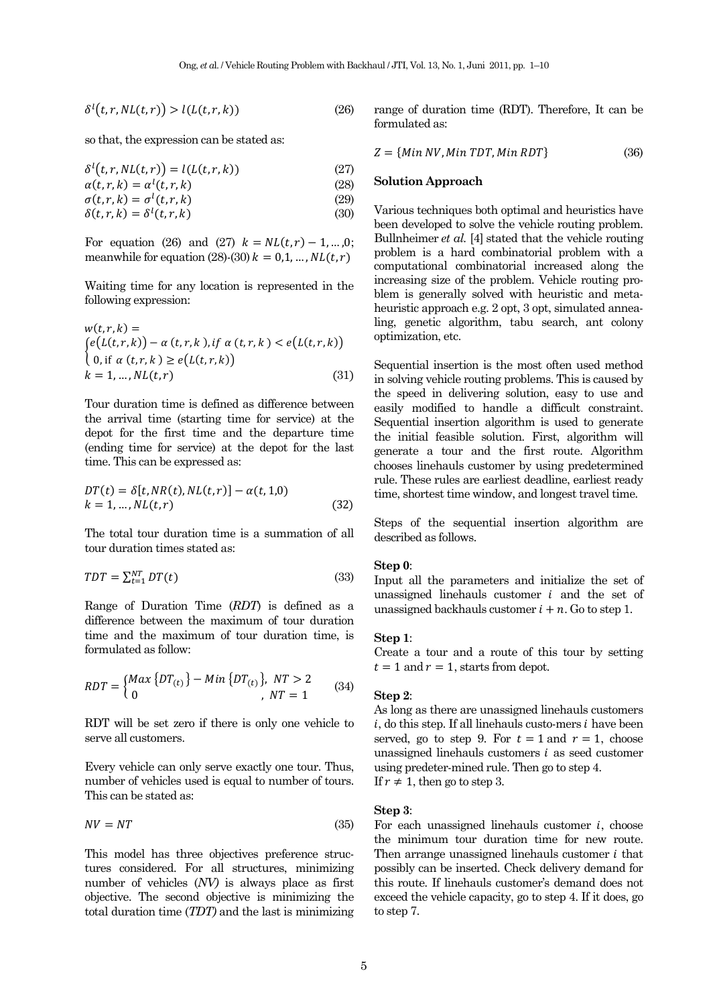$$
\delta^l(t, r, NL(t, r)) > l(L(t, r, k))
$$
\n(26)

so that, the expression can be stated as:

$$
\delta^{l}(t, r, NL(t, r)) = l(L(t, r, k))
$$
\n(27)

$$
\alpha(t, r, k) = \alpha^l(t, r, k) \tag{28}
$$

$$
\sigma(t, r, k) = \sigma^{l}(t, r, k)
$$
\n
$$
\delta(t, r, k) = \delta^{l}(t, r, k)
$$
\n(29)\n(30)

For equation (26) and (27)  $k = NL(t, r) - 1, ..., 0;$ meanwhile for equation (28)-(30)  $k = 0,1, ..., N(L(t, r))$ 

Waiting time for any location is represented in the following expression:

$$
w(t,r,k) =
$$
  
\n
$$
\begin{cases}\ne(L(t,r,k)) - \alpha(t,r,k), & \text{if } \alpha(t,r,k) < e(L(t,r,k)) \\
0, & \text{if } \alpha(t,r,k) \ge e(L(t,r,k)) \\
k = 1, \dots, N(L(t,r))\n\end{cases} \tag{31}
$$

Tour duration time is defined as difference between the arrival time (starting time for service) at the depot for the first time and the departure time (ending time for service) at the depot for the last time. This can be expressed as:

$$
DT(t) = \delta[t, NR(t), NL(t,r)] - \alpha(t, 1, 0)
$$
  
\n
$$
k = 1, ..., NL(t, r)
$$
\n(32)

The total tour duration time is a summation of all tour duration times stated as:

$$
TDT = \sum_{t=1}^{NT} DT(t) \tag{33}
$$

Range of Duration Time (*RDT*) is defined as a difference between the maximum of tour duration time and the maximum of tour duration time, is formulated as follow:

$$
RDT = \begin{cases} Max\left\{ DT_{(t)} \right\} - Min\left\{ DT_{(t)} \right\}, & NT > 2\\ 0, & NT = 1 \end{cases}
$$
 (34)

RDT will be set zero if there is only one vehicle to serve all customers.

Every vehicle can only serve exactly one tour. Thus, number of vehicles used is equal to number of tours. This can be stated as:

$$
NV = NT \tag{35}
$$

This model has three objectives preference structures considered. For all structures, minimizing number of vehicles (*NV)* is always place as first objective. The second objective is minimizing the total duration time (*TDT)* and the last is minimizing range of duration time (RDT). Therefore, It can be formulated as:

$$
Z = \{Min\,NV, Min\,TDT, Min\,RDT\} \tag{36}
$$

#### **Solution Approach**

Various techniques both optimal and heuristics have been developed to solve the vehicle routing problem. Bullnheimer *et al.* [4] stated that the vehicle routing problem is a hard combinatorial problem with a computational combinatorial increased along the increasing size of the problem. Vehicle routing problem is generally solved with heuristic and metaheuristic approach e.g. 2 opt, 3 opt, simulated annealing, genetic algorithm, tabu search, ant colony optimization, etc.

Sequential insertion is the most often used method in solving vehicle routing problems. This is caused by the speed in delivering solution, easy to use and easily modified to handle a difficult constraint. Sequential insertion algorithm is used to generate the initial feasible solution. First, algorithm will generate a tour and the first route. Algorithm chooses linehauls customer by using predetermined rule. These rules are earliest deadline, earliest ready time, shortest time window, and longest travel time.

Steps of the sequential insertion algorithm are described as follows.

#### **Step 0**:

Input all the parameters and initialize the set of unassigned linehauls customer  $i$  and the set of unassigned backhauls customer  $i + n$ . Go to step 1.

#### **Step 1**:

Create a tour and a route of this tour by setting  $t = 1$  and  $r = 1$ , starts from depot.

# **Step 2**:

As long as there are unassigned linehauls customers  $i$ , do this step. If all linehauls custo-mers  $i$  have been served, go to step 9. For  $t = 1$  and  $r = 1$ , choose unassigned linehauls customers  $i$  as seed customer using predeter-mined rule. Then go to step 4. If  $r \neq 1$ , then go to step 3.

#### **Step 3**:

For each unassigned linehauls customer  $i$ , choose the minimum tour duration time for new route. Then arrange unassigned linehauls customer  $i$  that possibly can be inserted. Check delivery demand for this route. If linehauls customer's demand does not exceed the vehicle capacity, go to step 4. If it does, go to step 7.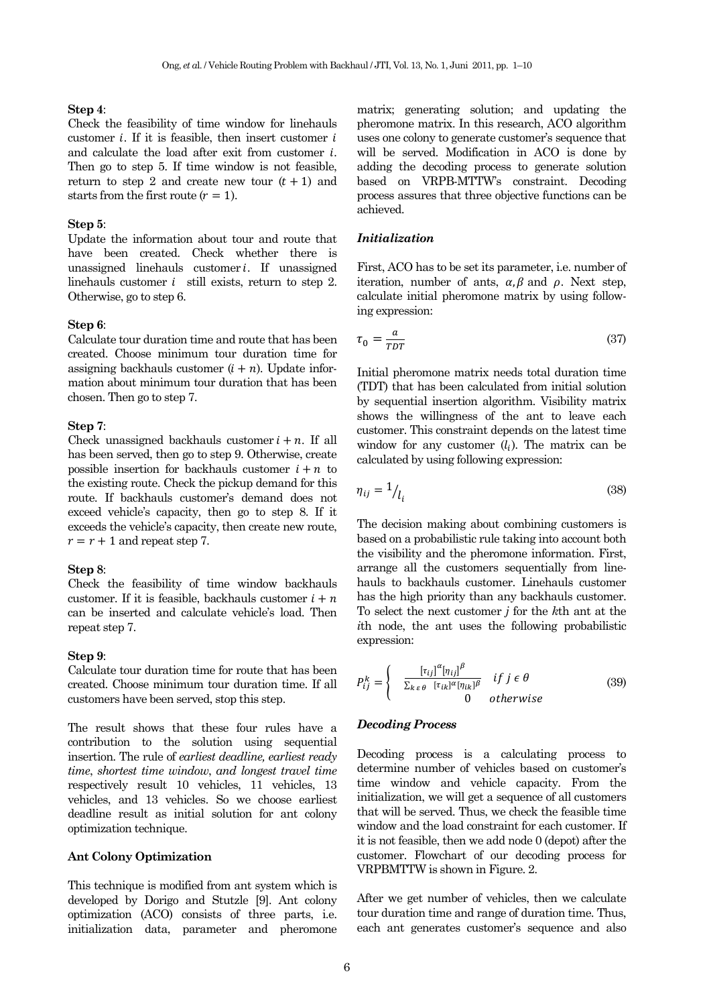#### **Step 4**:

Check the feasibility of time window for linehauls customer  $i$ . If it is feasible, then insert customer  $i$ and calculate the load after exit from customer  $i$ . Then go to step 5. If time window is not feasible, return to step 2 and create new tour  $(t+1)$  and starts from the first route  $(r = 1)$ .

#### **Step 5**:

Update the information about tour and route that have been created. Check whether there is unassigned linehauls customer  $i$ . If unassigned linehauls customer  $i$  still exists, return to step 2. Otherwise, go to step 6.

#### **Step 6**:

Calculate tour duration time and route that has been created. Choose minimum tour duration time for assigning backhauls customer  $(i + n)$ . Update information about minimum tour duration that has been chosen. Then go to step 7.

#### **Step 7**:

Check unassigned backhauls customer  $i + n$ . If all has been served, then go to step 9. Otherwise, create possible insertion for backhauls customer  $i + n$  to the existing route. Check the pickup demand for this route. If backhauls customer's demand does not exceed vehicle's capacity, then go to step 8. If it exceeds the vehicle's capacity, then create new route,  $r = r + 1$  and repeat step 7.

#### **Step 8**:

Check the feasibility of time window backhauls customer. If it is feasible, backhauls customer  $i + n$ can be inserted and calculate vehicle's load. Then repeat step 7.

#### **Step 9**:

Calculate tour duration time for route that has been created. Choose minimum tour duration time. If all customers have been served, stop this step.

The result shows that these four rules have a contribution to the solution using sequential insertion. The rule of *earliest deadline, earliest ready time*, *shortest time window*, *and longest travel time* respectively result 10 vehicles, 11 vehicles, 13 vehicles, and 13 vehicles. So we choose earliest deadline result as initial solution for ant colony optimization technique.

#### **Ant Colony Optimization**

This technique is modified from ant system which is developed by Dorigo and Stutzle [9]. Ant colony optimization (ACO) consists of three parts, i.e. initialization data, parameter and pheromone

matrix; generating solution; and updating the pheromone matrix. In this research, ACO algorithm uses one colony to generate customer's sequence that will be served. Modification in ACO is done by adding the decoding process to generate solution based on VRPB-MTTW's constraint. Decoding process assures that three objective functions can be achieved.

# *Initialization*

First, ACO has to be set its parameter, i.e. number of iteration, number of ants,  $\alpha, \beta$  and  $\rho$ . Next step, calculate initial pheromone matrix by using following expression:

$$
\tau_0 = \frac{a}{TDT} \tag{37}
$$

Initial pheromone matrix needs total duration time (TDT) that has been calculated from initial solution by sequential insertion algorithm. Visibility matrix shows the willingness of the ant to leave each customer. This constraint depends on the latest time window for any customer  $(l_i)$ . The matrix can be calculated by using following expression:

$$
\eta_{ij} = 1 / l_i \tag{38}
$$

The decision making about combining customers is based on a probabilistic rule taking into account both the visibility and the pheromone information. First, arrange all the customers sequentially from linehauls to backhauls customer. Linehauls customer has the high priority than any backhauls customer. To select the next customer *j* for the *k*th ant at the *i*th node, the ant uses the following probabilistic expression:

$$
P_{ij}^k = \begin{cases} \frac{\left[\tau_{ij}\right]^{\alpha} \left[\eta_{ij}\right]^{\beta}}{\sum_{k \varepsilon \theta} \left[\tau_{ik}\right]^{\alpha} \left[\eta_{ik}\right]^{\beta}} & \text{if } j \in \theta\\ 0 & \text{otherwise} \end{cases} \tag{39}
$$

# *Decoding Process*

Decoding process is a calculating process to determine number of vehicles based on customer's time window and vehicle capacity. From the initialization, we will get a sequence of all customers that will be served. Thus, we check the feasible time window and the load constraint for each customer. If it is not feasible, then we add node 0 (depot) after the customer. Flowchart of our decoding process for VRPBMTTW is shown in Figure. 2.

After we get number of vehicles, then we calculate tour duration time and range of duration time. Thus, each ant generates customer's sequence and also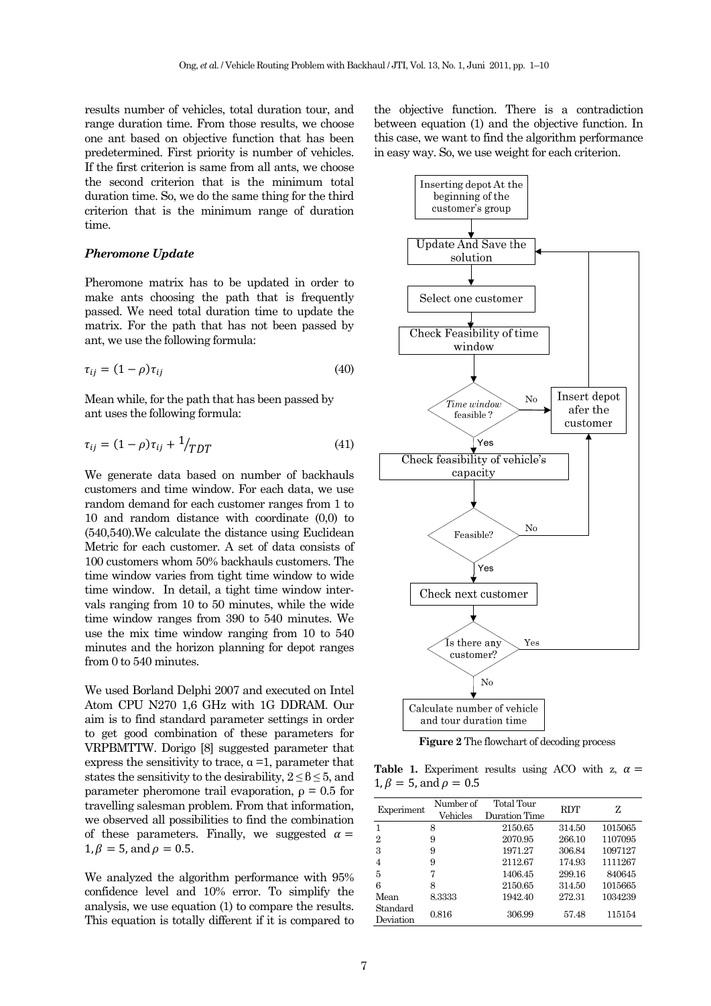results number of vehicles, total duration tour, and range duration time. From those results, we choose one ant based on objective function that has been predetermined. First priority is number of vehicles. If the first criterion is same from all ants, we choose the second criterion that is the minimum total duration time. So, we do the same thing for the third criterion that is the minimum range of duration time.

## *Pheromone Update*

Pheromone matrix has to be updated in order to make ants choosing the path that is frequently passed. We need total duration time to update the matrix. For the path that has not been passed by ant, we use the following formula:

$$
\tau_{ij} = (1 - \rho)\tau_{ij} \tag{40}
$$

Mean while, for the path that has been passed by ant uses the following formula:

$$
\tau_{ij} = (1 - \rho)\tau_{ij} + \frac{1}{TDT}
$$
\n<sup>(41)</sup>

We generate data based on number of backhauls customers and time window. For each data, we use random demand for each customer ranges from 1 to 10 and random distance with coordinate (0,0) to (540,540).We calculate the distance using Euclidean Metric for each customer. A set of data consists of 100 customers whom 50% backhauls customers. The time window varies from tight time window to wide time window. In detail, a tight time window intervals ranging from 10 to 50 minutes, while the wide time window ranges from 390 to 540 minutes. We use the mix time window ranging from 10 to 540 minutes and the horizon planning for depot ranges from 0 to 540 minutes.

We used Borland Delphi 2007 and executed on Intel Atom CPU N270 1,6 GHz with 1G DDRAM. Our aim is to find standard parameter settings in order to get good combination of these parameters for VRPBMTTW. Dorigo [8] suggested parameter that express the sensitivity to trace,  $\alpha = 1$ , parameter that states the sensitivity to the desirability,  $2 \leq \theta \leq 5$ , and parameter pheromone trail evaporation,  $\rho = 0.5$  for travelling salesman problem. From that information, we observed all possibilities to find the combination of these parameters. Finally, we suggested  $\alpha =$  $1, \beta = 5$ , and  $\rho = 0.5$ .

We analyzed the algorithm performance with 95% confidence level and 10% error. To simplify the analysis, we use equation (1) to compare the results. This equation is totally different if it is compared to the objective function. There is a contradiction between equation (1) and the objective function. In this case, we want to find the algorithm performance in easy way. So, we use weight for each criterion.



**Figure 2** The flowchart of decoding process

**Table 1.** Experiment results using ACO with z,  $\alpha$  =  $1, \beta = 5$ , and  $\rho = 0.5$ 

| Experiment            | Number of<br>Vehicles | Total Tour<br>Duration Time | <b>RDT</b> | Z       |
|-----------------------|-----------------------|-----------------------------|------------|---------|
| 1                     | 8                     | 2150.65                     | 314.50     | 1015065 |
| $\overline{2}$        | 9                     | 2070.95                     | 266.10     | 1107095 |
| 3                     | 9                     | 1971.27                     | 306.84     | 1097127 |
| 4                     | 9                     | 2112.67                     | 174.93     | 1111267 |
| 5                     | 7                     | 1406.45                     | 299.16     | 840645  |
| 6                     | 8                     | 2150.65                     | 314.50     | 1015665 |
| Mean                  | 8.3333                | 1942.40                     | 272.31     | 1034239 |
| Standard<br>Deviation | 0.816                 | 306.99                      | 57.48      | 115154  |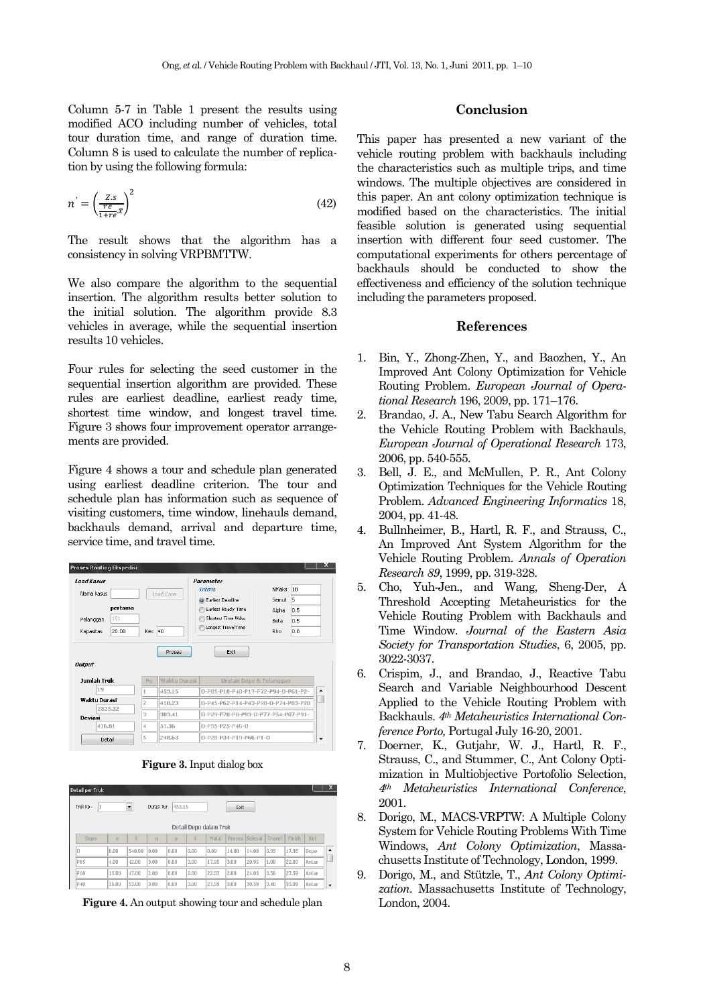Column 5-7 in Table 1 present the results using modified ACO including number of vehicles, total tour duration time, and range of duration time. Column 8 is used to calculate the number of replication by using the following formula:

$$
n' = \left(\frac{zs}{re^{-x}}\right)^2\tag{42}
$$

The result shows that the algorithm has a consistency in solving VRPBMTTW.

We also compare the algorithm to the sequential insertion. The algorithm results better solution to the initial solution. The algorithm provide 8.3 vehicles in average, while the sequential insertion results 10 vehicles.

Four rules for selecting the seed customer in the sequential insertion algorithm are provided. These rules are earliest deadline, earliest ready time, shortest time window, and longest travel time. Figure 3 shows four improvement operator arrangements are provided.

Figure 4 shows a tour and schedule plan generated using earliest deadline criterion. The tour and schedule plan has information such as sequence of visiting customers, time window, linehauls demand, backhauls demand, arrival and departure time, service time, and travel time.

| <b>Load Kasus</b>  |       |                |              | Parameter                           |              |     |  |
|--------------------|-------|----------------|--------------|-------------------------------------|--------------|-----|--|
| Nama kasus         |       | Load Case      |              | Kriteria                            | <b>NMaks</b> | 10  |  |
|                    |       |                |              | C Earliest Deadline                 | Semut        | 5   |  |
| pertama            |       |                |              | <b>Earliest Ready Time</b>          | Alpha        | 0.5 |  |
| Pelanggan          | 101   |                |              | Shortest Time Wdw                   | Beta         | 0.5 |  |
| Kapasitas          | 20.00 | Kec 40         |              | Longest TravelTime                  | Rho.         | 0.8 |  |
| Output             |       |                | Proses       | Exit                                |              |     |  |
| <b>Jumlah Truk</b> |       | No             | Waktu Durasi | Urutan Depo & Pelanggan             |              |     |  |
| 19                 |       | 1              | 453.15       | 0-P85-P18-P40-P17-P72-P94-0-P61-P2- |              |     |  |
| Wakhi Durasi       |       | $\overline{2}$ | 410.23       | 0-P45-P62-P14-P43-P98-0-P74-P83-P20 |              |     |  |
| 2825.32            |       | 3              | 383.41       | 0-P29-P78-P8-P93-0-P77-P54-P87-P91- |              |     |  |
| Deviasi<br>416.01  |       | 4              | 51.36        | $0 - P55 - P25 - P46 - 0$           |              |     |  |

**Figure 3.** Input dialog box

| Truk Ke - |              | $\overline{\phantom{a}}$ | Durasi Tur     | 453.15 |      |                                 | Exit  |                |        |        |       |
|-----------|--------------|--------------------------|----------------|--------|------|---------------------------------|-------|----------------|--------|--------|-------|
| Depo      |              |                          |                |        |      | Detail Depo dalam Truk<br>Mulai |       | Proses Selesai | Travel | Finish | Ket   |
|           | $\mathbf{P}$ |                          | $\overline{q}$ | p      |      |                                 |       |                |        |        |       |
| O         | ln.nn        | 540.00                   | n.nn           | 0.00   | 0.00 | In.nn                           | 14.00 | 14.00          | 3.95   | 17.95  | Depo  |
| P85       | 4.00         | 42.00                    | 3.00           | 0.00   | 3.00 | 17.95                           | 3.00  | 20.95          | 1.08   | 22.03  | Antar |
|           |              | 47.00                    | 2.00           | 0.00   | 2.00 | 22.03                           | 2.00  | 24.03          | 3.56   | 27.59  | Antar |
| P18       | 15.00        |                          |                |        |      |                                 |       |                |        |        |       |

**Figure 4.** An output showing tour and schedule plan

# **Conclusion**

This paper has presented a new variant of the vehicle routing problem with backhauls including the characteristics such as multiple trips, and time windows. The multiple objectives are considered in this paper. An ant colony optimization technique is modified based on the characteristics. The initial feasible solution is generated using sequential insertion with different four seed customer. The computational experiments for others percentage of backhauls should be conducted to show the effectiveness and efficiency of the solution technique including the parameters proposed.

#### **References**

- 1. Bin, Y., Zhong-Zhen, Y., and Baozhen, Y., An Improved Ant Colony Optimization for Vehicle Routing Problem. *European Journal of Operational Research* 196, 2009, pp. 171–176.
- 2. Brandao, J. A., New Tabu Search Algorithm for the Vehicle Routing Problem with Backhauls, *European Journal of Operational Research* 173, 2006, pp. 540-555.
- 3. Bell, J. E., and McMullen, P. R., Ant Colony Optimization Techniques for the Vehicle Routing Problem. *Advanced Engineering Informatics* 18, 2004, pp. 41-48.
- 4. Bullnheimer, B., Hartl, R. F., and Strauss, C., An Improved Ant System Algorithm for the Vehicle Routing Problem. *Annals of Operation Research 89*, 1999, pp. 319-328.
- 5. Cho, Yuh-Jen., and Wang, Sheng-Der, A Threshold Accepting Metaheuristics for the Vehicle Routing Problem with Backhauls and Time Window. *Journal of the Eastern Asia Society for Transportation Studies*, 6, 2005, pp. 3022-3037.
- 6. Crispim, J., and Brandao, J., Reactive Tabu Search and Variable Neighbourhood Descent Applied to the Vehicle Routing Problem with Backhauls. *4th Metaheuristics International Conference Porto,* Portugal July 16-20, 2001.
- 7. Doerner, K., Gutjahr, W. J., Hartl, R. F., Strauss, C., and Stummer, C., Ant Colony Optimization in Multiobjective Portofolio Selection, *4th Metaheuristics International Conference*, 2001.
- 8. Dorigo, M., MACS-VRPTW: A Multiple Colony System for Vehicle Routing Problems With Time Windows, *Ant Colony Optimization*, Massachusetts Institute of Technology, London, 1999.
- 9. Dorigo, M., and Stützle, T., *Ant Colony Optimization*. Massachusetts Institute of Technology, London, 2004.